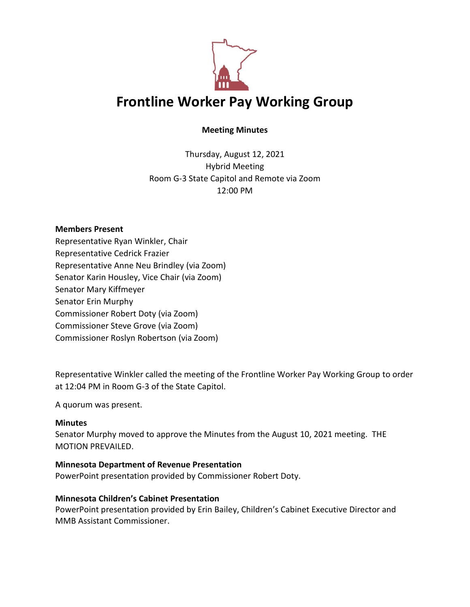

# **Meeting Minutes**

Thursday, August 12, 2021 Hybrid Meeting Room G-3 State Capitol and Remote via Zoom 12:00 PM

### **Members Present**

Representative Ryan Winkler, Chair Representative Cedrick Frazier Representative Anne Neu Brindley (via Zoom) Senator Karin Housley, Vice Chair (via Zoom) Senator Mary Kiffmeyer Senator Erin Murphy Commissioner Robert Doty (via Zoom) Commissioner Steve Grove (via Zoom) Commissioner Roslyn Robertson (via Zoom)

Representative Winkler called the meeting of the Frontline Worker Pay Working Group to order at 12:04 PM in Room G-3 of the State Capitol.

A quorum was present.

### **Minutes**

Senator Murphy moved to approve the Minutes from the August 10, 2021 meeting. THE MOTION PREVAILED.

### **Minnesota Department of Revenue Presentation**

PowerPoint presentation provided by Commissioner Robert Doty.

### **Minnesota Children's Cabinet Presentation**

PowerPoint presentation provided by Erin Bailey, Children's Cabinet Executive Director and MMB Assistant Commissioner.